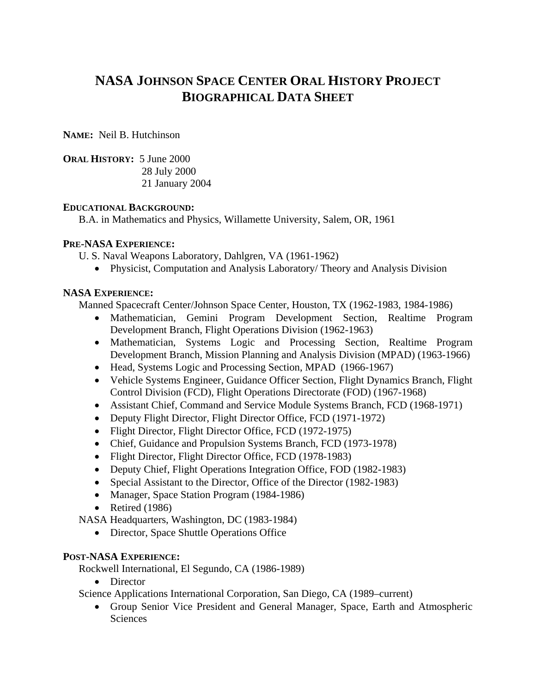# **NASA JOHNSON SPACE CENTER ORAL HISTORY PROJECT BIOGRAPHICAL DATA SHEET**

**NAME:** Neil B. Hutchinson

**ORAL HISTORY:** 5 June 2000 28 July 2000 21 January 2004

#### **EDUCATIONAL BACKGROUND:**

B.A. in Mathematics and Physics, Willamette University, Salem, OR, 1961

## **PRE-NASA EXPERIENCE:**

U. S. Naval Weapons Laboratory, Dahlgren, VA (1961-1962)

• Physicist, Computation and Analysis Laboratory/ Theory and Analysis Division

## **NASA EXPERIENCE:**

Manned Spacecraft Center/Johnson Space Center, Houston, TX (1962-1983, 1984-1986)

- Mathematician, Gemini Program Development Section, Realtime Program Development Branch, Flight Operations Division (1962-1963)
- Mathematician, Systems Logic and Processing Section, Realtime Program Development Branch, Mission Planning and Analysis Division (MPAD) (1963-1966)
- Head, Systems Logic and Processing Section, MPAD (1966-1967)
- Vehicle Systems Engineer, Guidance Officer Section, Flight Dynamics Branch, Flight Control Division (FCD), Flight Operations Directorate (FOD) (1967-1968)
- Assistant Chief, Command and Service Module Systems Branch, FCD (1968-1971)
- Deputy Flight Director, Flight Director Office, FCD (1971-1972)
- Flight Director, Flight Director Office, FCD (1972-1975)
- Chief, Guidance and Propulsion Systems Branch, FCD (1973-1978)
- Flight Director, Flight Director Office, FCD (1978-1983)
- Deputy Chief, Flight Operations Integration Office, FOD (1982-1983)
- Special Assistant to the Director, Office of the Director (1982-1983)
- Manager, Space Station Program (1984-1986)
- Retired (1986)

NASA Headquarters, Washington, DC (1983-1984)

• Director, Space Shuttle Operations Office

## **POST-NASA EXPERIENCE:**

Rockwell International, El Segundo, CA (1986-1989)

• Director

Science Applications International Corporation, San Diego, CA (1989–current)

• Group Senior Vice President and General Manager, Space, Earth and Atmospheric Sciences